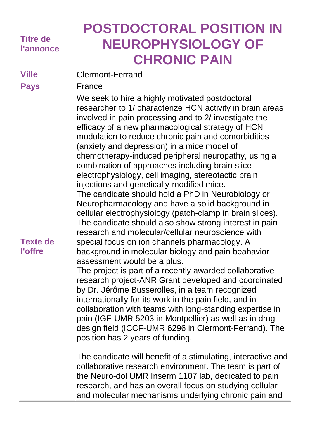| <b>Titre de</b><br><b>l'annonce</b> | <b>POSTDOCTORAL POSITION IN</b><br><b>NEUROPHYSIOLOGY OF</b><br><b>CHRONIC PAIN</b>                                                                                                                                                                                                                                                                                                                                                                                                                                                                                                                                                                                                                                                                                                                                                                                                                                                                                                                                                                                                                                                                                                                                                                                                                                                                                                                                                                                                                                                                                                                                                                                                                                                |
|-------------------------------------|------------------------------------------------------------------------------------------------------------------------------------------------------------------------------------------------------------------------------------------------------------------------------------------------------------------------------------------------------------------------------------------------------------------------------------------------------------------------------------------------------------------------------------------------------------------------------------------------------------------------------------------------------------------------------------------------------------------------------------------------------------------------------------------------------------------------------------------------------------------------------------------------------------------------------------------------------------------------------------------------------------------------------------------------------------------------------------------------------------------------------------------------------------------------------------------------------------------------------------------------------------------------------------------------------------------------------------------------------------------------------------------------------------------------------------------------------------------------------------------------------------------------------------------------------------------------------------------------------------------------------------------------------------------------------------------------------------------------------------|
| <b>Ville</b>                        | <b>Clermont-Ferrand</b>                                                                                                                                                                                                                                                                                                                                                                                                                                                                                                                                                                                                                                                                                                                                                                                                                                                                                                                                                                                                                                                                                                                                                                                                                                                                                                                                                                                                                                                                                                                                                                                                                                                                                                            |
| <b>Pays</b>                         | France                                                                                                                                                                                                                                                                                                                                                                                                                                                                                                                                                                                                                                                                                                                                                                                                                                                                                                                                                                                                                                                                                                                                                                                                                                                                                                                                                                                                                                                                                                                                                                                                                                                                                                                             |
| <b>Texte de</b><br><b>l'offre</b>   | We seek to hire a highly motivated postdoctoral<br>researcher to 1/ characterize HCN activity in brain areas<br>involved in pain processing and to 2/ investigate the<br>efficacy of a new pharmacological strategy of HCN<br>modulation to reduce chronic pain and comorbidities<br>(anxiety and depression) in a mice model of<br>chemotherapy-induced peripheral neuropathy, using a<br>combination of approaches including brain slice<br>electrophysiology, cell imaging, stereotactic brain<br>injections and genetically-modified mice.<br>The candidate should hold a PhD in Neurobiology or<br>Neuropharmacology and have a solid background in<br>cellular electrophysiology (patch-clamp in brain slices).<br>The candidate should also show strong interest in pain<br>research and molecular/cellular neuroscience with<br>special focus on ion channels pharmacology. A<br>background in molecular biology and pain beahavior<br>assessment would be a plus.<br>The project is part of a recently awarded collaborative<br>research project-ANR Grant developed and coordinated<br>by Dr. Jérôme Busserolles, in a team recognized<br>internationally for its work in the pain field, and in<br>collaboration with teams with long-standing expertise in<br>pain (IGF-UMR 5203 in Montpellier) as well as in drug<br>design field (ICCF-UMR 6296 in Clermont-Ferrand). The<br>position has 2 years of funding.<br>The candidate will benefit of a stimulating, interactive and<br>collaborative research environment. The team is part of<br>the Neuro-dol UMR Inserm 1107 lab, dedicated to pain<br>research, and has an overall focus on studying cellular<br>and molecular mechanisms underlying chronic pain and |